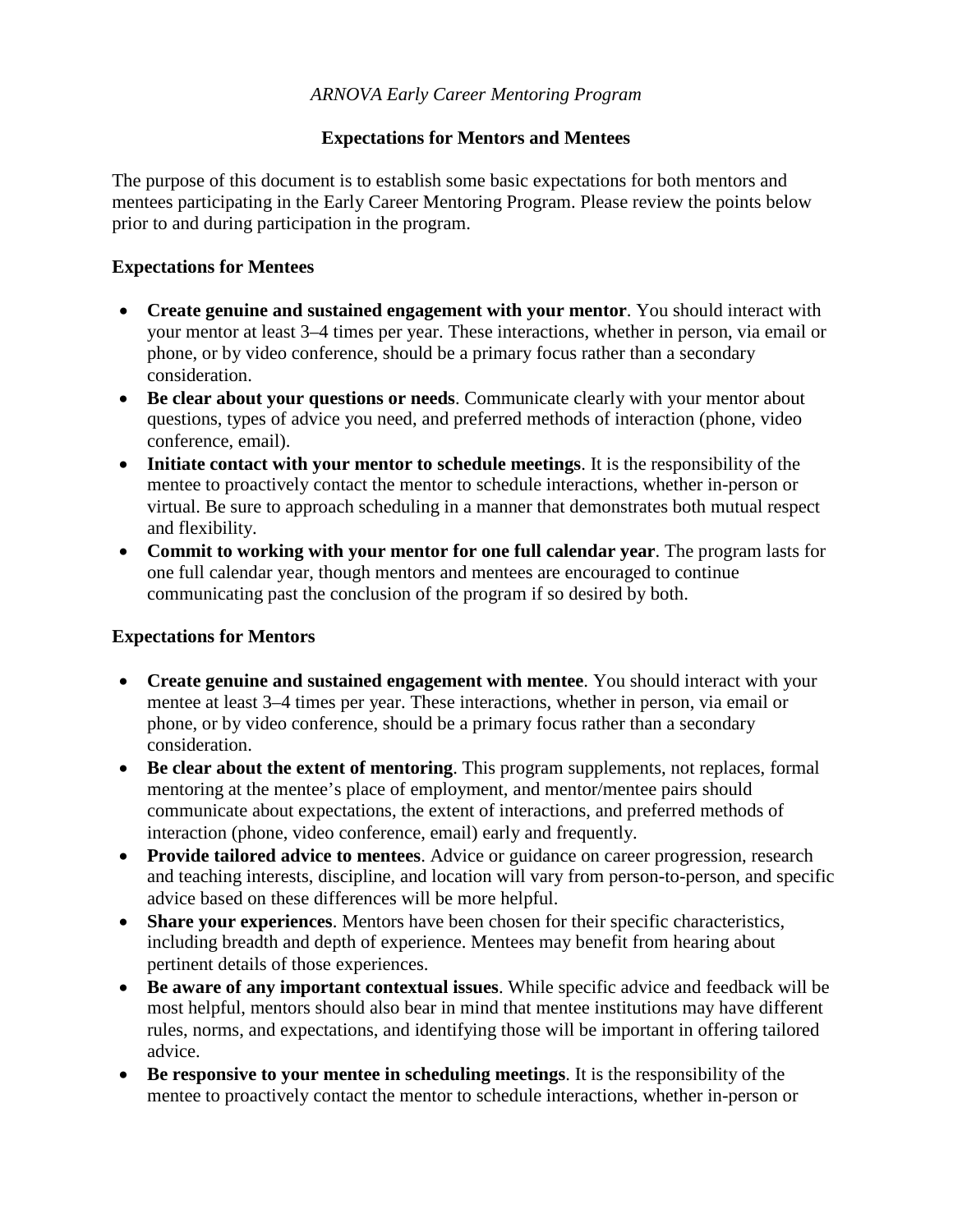## *ARNOVA Early Career Mentoring Program*

## **Expectations for Mentors and Mentees**

The purpose of this document is to establish some basic expectations for both mentors and mentees participating in the Early Career Mentoring Program. Please review the points below prior to and during participation in the program.

## **Expectations for Mentees**

- **Create genuine and sustained engagement with your mentor**. You should interact with your mentor at least 3–4 times per year. These interactions, whether in person, via email or phone, or by video conference, should be a primary focus rather than a secondary consideration.
- **Be clear about your questions or needs**. Communicate clearly with your mentor about questions, types of advice you need, and preferred methods of interaction (phone, video conference, email).
- **Initiate contact with your mentor to schedule meetings**. It is the responsibility of the mentee to proactively contact the mentor to schedule interactions, whether in-person or virtual. Be sure to approach scheduling in a manner that demonstrates both mutual respect and flexibility.
- **Commit to working with your mentor for one full calendar year**. The program lasts for one full calendar year, though mentors and mentees are encouraged to continue communicating past the conclusion of the program if so desired by both.

## **Expectations for Mentors**

- **Create genuine and sustained engagement with mentee**. You should interact with your mentee at least 3–4 times per year. These interactions, whether in person, via email or phone, or by video conference, should be a primary focus rather than a secondary consideration.
- **Be clear about the extent of mentoring**. This program supplements, not replaces, formal mentoring at the mentee's place of employment, and mentor/mentee pairs should communicate about expectations, the extent of interactions, and preferred methods of interaction (phone, video conference, email) early and frequently.
- **Provide tailored advice to mentees**. Advice or guidance on career progression, research and teaching interests, discipline, and location will vary from person-to-person, and specific advice based on these differences will be more helpful.
- **Share your experiences**. Mentors have been chosen for their specific characteristics, including breadth and depth of experience. Mentees may benefit from hearing about pertinent details of those experiences.
- **Be aware of any important contextual issues**. While specific advice and feedback will be most helpful, mentors should also bear in mind that mentee institutions may have different rules, norms, and expectations, and identifying those will be important in offering tailored advice.
- **Be responsive to your mentee in scheduling meetings**. It is the responsibility of the mentee to proactively contact the mentor to schedule interactions, whether in-person or